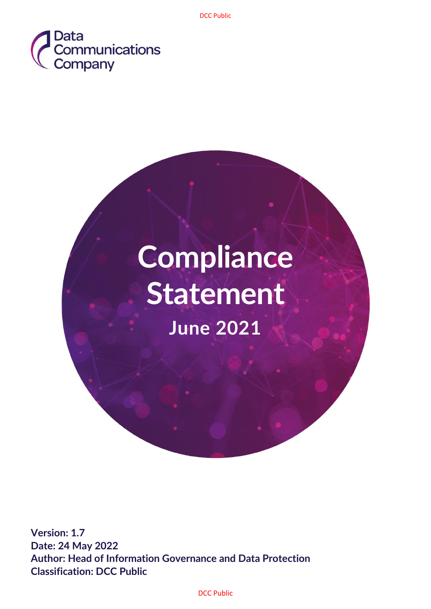

# **Compliance Statement June 2021**

**Version: 1.7 Date: 24 May 2022 Author: Head of Information Governance and Data Protection Classification: DCC Public**

DCC Public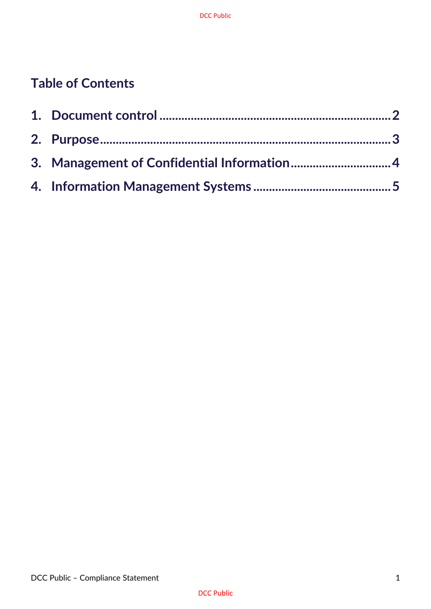# **Table of Contents**

| 3. Management of Confidential Information 4 |  |
|---------------------------------------------|--|
|                                             |  |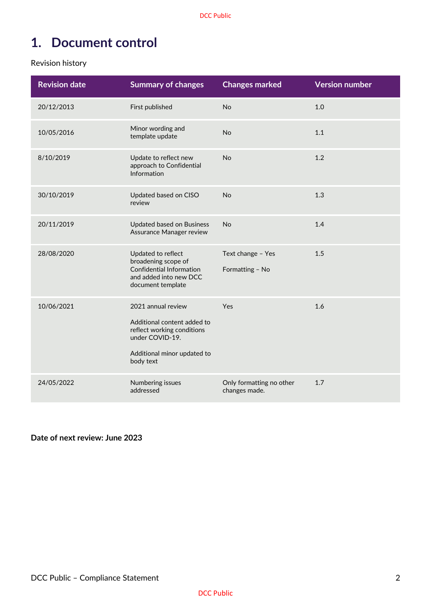## <span id="page-2-0"></span>**1. Document control**

Revision history

| <b>Revision date</b> | <b>Summary of changes</b>                                                                                                                      | <b>Changes marked</b>                     | <b>Version number</b> |
|----------------------|------------------------------------------------------------------------------------------------------------------------------------------------|-------------------------------------------|-----------------------|
| 20/12/2013           | First published                                                                                                                                | No                                        | 1.0                   |
| 10/05/2016           | Minor wording and<br>template update                                                                                                           | No                                        | 1.1                   |
| 8/10/2019            | Update to reflect new<br>approach to Confidential<br>Information                                                                               | No                                        | 1.2                   |
| 30/10/2019           | Updated based on CISO<br>review                                                                                                                | <b>No</b>                                 | 1.3                   |
| 20/11/2019           | <b>Updated based on Business</b><br>Assurance Manager review                                                                                   | No                                        | 1.4                   |
| 28/08/2020           | Updated to reflect<br>broadening scope of<br><b>Confidential Information</b><br>and added into new DCC<br>document template                    | Text change - Yes<br>Formatting - No      | 1.5                   |
| 10/06/2021           | 2021 annual review<br>Additional content added to<br>reflect working conditions<br>under COVID-19.<br>Additional minor updated to<br>body text | Yes                                       | 1.6                   |
| 24/05/2022           | Numbering issues<br>addressed                                                                                                                  | Only formatting no other<br>changes made. | 1.7                   |

**Date of next review: June 2023**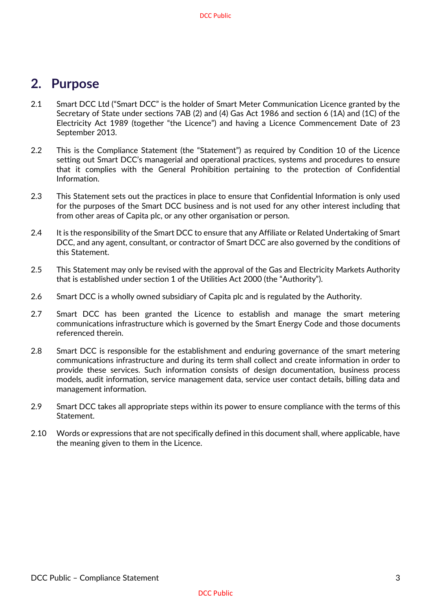### <span id="page-3-0"></span>**2. Purpose**

- 2.1 Smart DCC Ltd ("Smart DCC" is the holder of Smart Meter Communication Licence granted by the Secretary of State under sections 7AB (2) and (4) Gas Act 1986 and section 6 (1A) and (1C) of the Electricity Act 1989 (together "the Licence") and having a Licence Commencement Date of 23 September 2013.
- 2.2 This is the Compliance Statement (the "Statement") as required by Condition 10 of the Licence setting out Smart DCC's managerial and operational practices, systems and procedures to ensure that it complies with the General Prohibition pertaining to the protection of Confidential Information.
- 2.3 This Statement sets out the practices in place to ensure that Confidential Information is only used for the purposes of the Smart DCC business and is not used for any other interest including that from other areas of Capita plc, or any other organisation or person.
- 2.4 It is the responsibility of the Smart DCC to ensure that any Affiliate or Related Undertaking of Smart DCC, and any agent, consultant, or contractor of Smart DCC are also governed by the conditions of this Statement.
- 2.5 This Statement may only be revised with the approval of the Gas and Electricity Markets Authority that is established under section 1 of the Utilities Act 2000 (the "Authority").
- 2.6 Smart DCC is a wholly owned subsidiary of Capita plc and is regulated by the Authority.
- 2.7 Smart DCC has been granted the Licence to establish and manage the smart metering communications infrastructure which is governed by the Smart Energy Code and those documents referenced therein.
- 2.8 Smart DCC is responsible for the establishment and enduring governance of the smart metering communications infrastructure and during its term shall collect and create information in order to provide these services. Such information consists of design documentation, business process models, audit information, service management data, service user contact details, billing data and management information.
- 2.9 Smart DCC takes all appropriate steps within its power to ensure compliance with the terms of this Statement.
- 2.10 Words or expressions that are not specifically defined in this document shall, where applicable, have the meaning given to them in the Licence.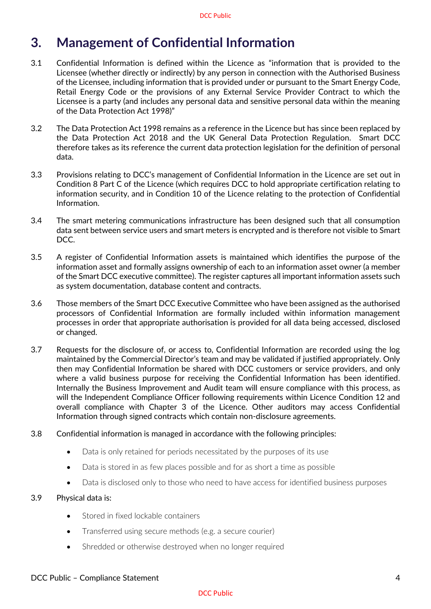## <span id="page-4-0"></span>**3. Management of Confidential Information**

- 3.1 Confidential Information is defined within the Licence as "information that is provided to the Licensee (whether directly or indirectly) by any person in connection with the Authorised Business of the Licensee, including information that is provided under or pursuant to the Smart Energy Code, Retail Energy Code or the provisions of any External Service Provider Contract to which the Licensee is a party (and includes any personal data and sensitive personal data within the meaning of the Data Protection Act 1998)"
- 3.2 The Data Protection Act 1998 remains as a reference in the Licence but has since been replaced by the Data Protection Act 2018 and the UK General Data Protection Regulation. Smart DCC therefore takes as its reference the current data protection legislation for the definition of personal data.
- 3.3 Provisions relating to DCC's management of Confidential Information in the Licence are set out in Condition 8 Part C of the Licence (which requires DCC to hold appropriate certification relating to information security, and in Condition 10 of the Licence relating to the protection of Confidential Information.
- 3.4 The smart metering communications infrastructure has been designed such that all consumption data sent between service users and smart meters is encrypted and is therefore not visible to Smart DCC.
- 3.5 A register of Confidential Information assets is maintained which identifies the purpose of the information asset and formally assigns ownership of each to an information asset owner (a member of the Smart DCC executive committee). The register captures all important information assets such as system documentation, database content and contracts.
- 3.6 Those members of the Smart DCC Executive Committee who have been assigned as the authorised processors of Confidential Information are formally included within information management processes in order that appropriate authorisation is provided for all data being accessed, disclosed or changed.
- 3.7 Requests for the disclosure of, or access to, Confidential Information are recorded using the log maintained by the Commercial Director's team and may be validated if justified appropriately. Only then may Confidential Information be shared with DCC customers or service providers, and only where a valid business purpose for receiving the Confidential Information has been identified. Internally the Business Improvement and Audit team will ensure compliance with this process, as will the Independent Compliance Officer following requirements within Licence Condition 12 and overall compliance with Chapter 3 of the Licence. Other auditors may access Confidential Information through signed contracts which contain non-disclosure agreements.
- 3.8 Confidential information is managed in accordance with the following principles:
	- Data is only retained for periods necessitated by the purposes of its use
	- Data is stored in as few places possible and for as short a time as possible
	- Data is disclosed only to those who need to have access for identified business purposes

#### 3.9 Physical data is:

- Stored in fixed lockable containers
- Transferred using secure methods (e.g. a secure courier)
- Shredded or otherwise destroyed when no longer required

#### DCC Public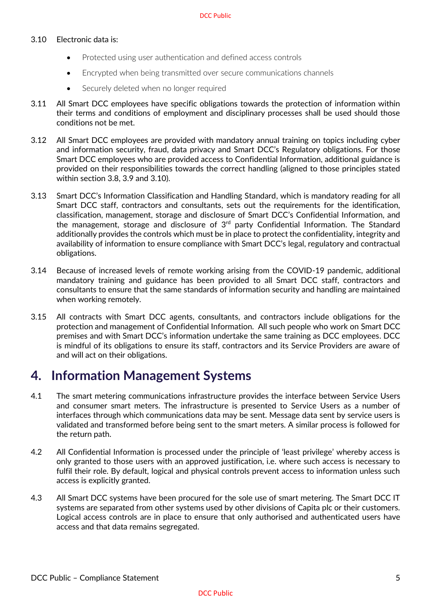#### 3.10 Electronic data is:

- Protected using user authentication and defined access controls
- Encrypted when being transmitted over secure communications channels
- Securely deleted when no longer required
- 3.11 All Smart DCC employees have specific obligations towards the protection of information within their terms and conditions of employment and disciplinary processes shall be used should those conditions not be met.
- 3.12 All Smart DCC employees are provided with mandatory annual training on topics including cyber and information security, fraud, data privacy and Smart DCC's Regulatory obligations. For those Smart DCC employees who are provided access to Confidential Information, additional guidance is provided on their responsibilities towards the correct handling (aligned to those principles stated within section 3.8, 3.9 and 3.10).
- 3.13 Smart DCC's Information Classification and Handling Standard, which is mandatory reading for all Smart DCC staff, contractors and consultants, sets out the requirements for the identification, classification, management, storage and disclosure of Smart DCC's Confidential Information, and the management, storage and disclosure of  $3<sup>rd</sup>$  party Confidential Information. The Standard additionally provides the controls which must be in place to protect the confidentiality, integrity and availability of information to ensure compliance with Smart DCC's legal, regulatory and contractual obligations.
- 3.14 Because of increased levels of remote working arising from the COVID-19 pandemic, additional mandatory training and guidance has been provided to all Smart DCC staff, contractors and consultants to ensure that the same standards of information security and handling are maintained when working remotely.
- 3.15 All contracts with Smart DCC agents, consultants, and contractors include obligations for the protection and management of Confidential Information. All such people who work on Smart DCC premises and with Smart DCC's information undertake the same training as DCC employees. DCC is mindful of its obligations to ensure its staff, contractors and its Service Providers are aware of and will act on their obligations.

## <span id="page-5-0"></span>**4. Information Management Systems**

- 4.1 The smart metering communications infrastructure provides the interface between Service Users and consumer smart meters. The infrastructure is presented to Service Users as a number of interfaces through which communications data may be sent. Message data sent by service users is validated and transformed before being sent to the smart meters. A similar process is followed for the return path.
- 4.2 All Confidential Information is processed under the principle of 'least privilege' whereby access is only granted to those users with an approved justification, i.e. where such access is necessary to fulfil their role. By default, logical and physical controls prevent access to information unless such access is explicitly granted.
- 4.3 All Smart DCC systems have been procured for the sole use of smart metering. The Smart DCC IT systems are separated from other systems used by other divisions of Capita plc or their customers. Logical access controls are in place to ensure that only authorised and authenticated users have access and that data remains segregated.